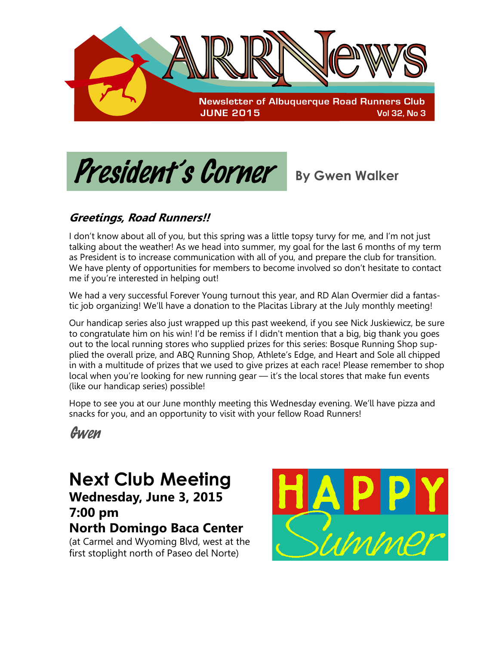

President's Corner **By Gwen Walker** 

### **Greetings, Road Runners!!**

I don't know about all of you, but this spring was a little topsy turvy for me, and I'm not just talking about the weather! As we head into summer, my goal for the last 6 months of my term as President is to increase communication with all of you, and prepare the club for transition. We have plenty of opportunities for members to become involved so don't hesitate to contact me if you're interested in helping out!

We had a very successful Forever Young turnout this year, and RD Alan Overmier did a fantastic job organizing! We'll have a donation to the Placitas Library at the July monthly meeting!

Our handicap series also just wrapped up this past weekend, if you see Nick Juskiewicz, be sure to congratulate him on his win! I'd be remiss if I didn't mention that a big, big thank you goes out to the local running stores who supplied prizes for this series: Bosque Running Shop supplied the overall prize, and ABQ Running Shop, Athlete's Edge, and Heart and Sole all chipped in with a multitude of prizes that we used to give prizes at each race! Please remember to shop local when you're looking for new running gear — it's the local stores that make fun events (like our handicap series) possible!

Hope to see you at our June monthly meeting this Wednesday evening. We'll have pizza and snacks for you, and an opportunity to visit with your fellow Road Runners!

Gwen

### **Next Club Meeting Wednesday, June 3, 2015 7:00 pm North Domingo Baca Center**

(at Carmel and Wyoming Blvd, west at the first stoplight north of Paseo del Norte)

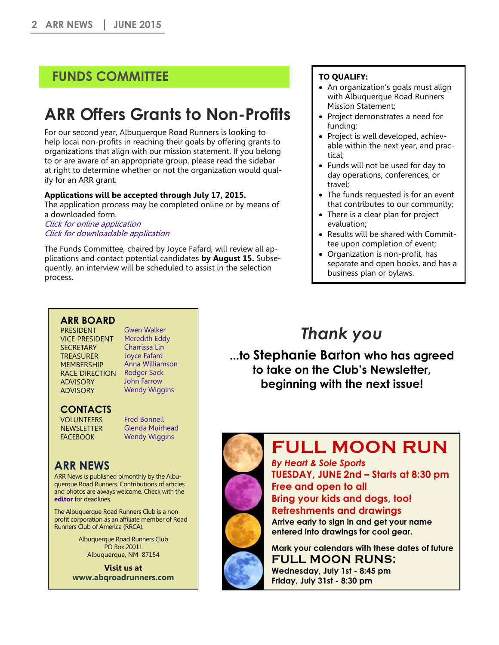### **FUNDS COMMITTEE**

# **ARR Offers Grants to Non-Profits**

For our second year, Albuquerque Road Runners is looking to help local non-profits in reaching their goals by offering grants to organizations that align with our mission statement. If you belong to or are aware of an appropriate group, please read the sidebar at right to determine whether or not the organization would qualify for an ARR grant.

#### **Applications will be accepted through July 17, 2015.**

The application process may be completed online or by means of a downloaded form.

[Click for online application](http://www.abqroadrunners.com/grant-application.html) [Click for downloadable application](http://www.abqroadrunners.com/uploads/6/7/7/6/6776981/arr_funds_committee_grant_application.pdf)

The Funds Committee, chaired by Joyce Fafard, will review all applications and contact potential candidates **by August 15.** Subsequently, an interview will be scheduled to assist in the selection process.

#### **TO QUALIFY:**

- An organization's goals must align with Albuquerque Road Runners Mission Statement;
- Project demonstrates a need for funding;
- Project is well developed, achievable within the next year, and practical;
- Funds will not be used for day to day operations, conferences, or travel;
- The funds requested is for an event that contributes to our community;
- There is a clear plan for project evaluation;
- Results will be shared with Committee upon completion of event;
- Organization is non-profit, has separate and open books, and has a business plan or bylaws.

#### **ARR BOARD**

**PRESIDENT** VICE PRESIDENT **SECRETARY TREASURER MEMBERSHIP** RACE DIRECTION [Rodger Sack](mailto:races@abqroadrunners.com) ADVISORY ADVISORY

[Gwen Walker](mailto:president@abqroadrunners.com)  [Meredith Eddy](mailto:vp@abqroadrunners.com) [Charrissa Lin](mailto:secretary@abqroadrunners.com) [Joyce Fafard](mailto:treasurer@abqroadrunners.com) [Anna Williamson](mailto:membership@abqroadrunners.com) [John Farrow](mailto:rrca@abqroadrunners.com) [Wendy Wiggins](mailto:facebook@abqroadrunners.com)

### **CONTACTS**

VOLUNTEERS **NEWSLETTER** FACEBOOK

[Fred Bonnell](mailto:volunteers@abqroadrunners.com) [Glenda Muirhead](mailto:editor@abqroadrunners.com)  [Wendy Wiggins](mailto:facebook@abqroadrunners.com)

### **ARR NEWS**

ARR News is published bimonthly by the Albuquerque Road Runners. Contributions of articles and photos are always welcome. Check with the **[editor](mailto:editor@abqroadrunners.com?subject=ARR%20Newsletter)** for deadlines.

The Albuquerque Road Runners Club is a nonprofit corporation as an affiliate member of Road Runners Club of America (RRCA).

> Albuquerque Road Runners Club PO Box 20011 Albuquerque, NM 87154

**Visit us at [www.abqroadrunners.com](http://www.abqroadrunners.com)**

### *Thank you*

**...to Stephanie Barton who has agreed to take on the Club's Newsletter, beginning with the next issue!**



*By Heart & Sole Sports* **TUESDAY, JUNE 2nd – Starts at 8:30 pm Free and open to all Bring your kids and dogs, too! Refreshments and drawings Arrive early to sign in and get your name entered into drawings for cool gear.** 

**Mark your calendars with these dates of future FULL MOON RUNS: Wednesday, July 1st - 8:45 pm Friday, July 31st - 8:30 pm**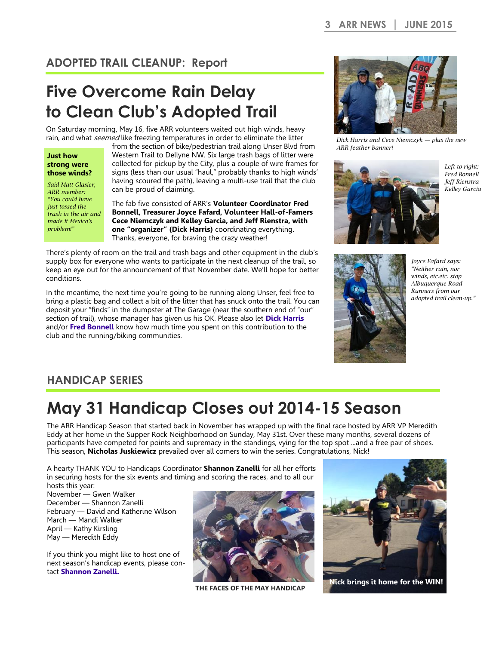### **ADOPTED TRAIL CLEANUP: Report**

# **Five Overcome Rain Delay to Clean Club's Adopted Trail**

On Saturday morning, May 16, five ARR volunteers waited out high winds, heavy rain, and what *seemed* like freezing temperatures in order to eliminate the litter

#### **Just how strong were those winds?**

*Said Matt Glasier, ARR member: "You could have just tossed the trash in the air and made it Mexico's problem!"*

from the section of bike/pedestrian trail along Unser Blvd from Western Trail to Dellyne NW. Six large trash bags of litter were collected for pickup by the City, plus a couple of wire frames for signs (less than our usual "haul," probably thanks to high winds' having scoured the path), leaving a multi-use trail that the club can be proud of claiming.

The fab five consisted of ARR's **Volunteer Coordinator Fred Bonnell, Treasurer Joyce Fafard, Volunteer Hall-of-Famers Cece Niemczyk and Kelley Garcia, and Jeff Rienstra, with one "organizer" (Dick Harris)** coordinating everything. Thanks, everyone, for braving the crazy weather!

There's plenty of room on the trail and trash bags and other equipment in the club's supply box for everyone who wants to participate in the next cleanup of the trail, so keep an eye out for the announcement of that November date. We'll hope for better conditions.

In the meantime, the next time you're going to be running along Unser, feel free to bring a plastic bag and collect a bit of the litter that has snuck onto the trail. You can deposit your "finds" in the dumpster at The Garage (near the southern end of "our" section of trail), whose manager has given us his OK. Please also let **[Dick Harris](mailto:cleanup@abqroadrunners.com)** and/or **[Fred Bonnell](mailto:volunteers@abqroadrunners.com)** know how much time you spent on this contribution to the club and the running/biking communities.



*Dick Harris and Cece Niemczyk — plus the new ARR feather banner!*



*Left to right: Fred Bonnell Jeff Rienstra Kelley Garcia*



*Joyce Fafard says: "Neither rain, nor winds, etc.etc. stop Albuquerque Road Runners from our adopted trail clean-up."*

### **HANDICAP SERIES**

# **May 31 Handicap Closes out 2014-15 Season**

The ARR Handicap Season that started back in November has wrapped up with the final race hosted by ARR VP Meredith Eddy at her home in the Supper Rock Neighborhood on Sunday, May 31st. Over these many months, several dozens of participants have competed for points and supremacy in the standings, vying for the top spot ...and a free pair of shoes. This season, **Nicholas Juskiewicz** prevailed over all comers to win the series. Congratulations, Nick!

A hearty THANK YOU to Handicaps Coordinator **Shannon Zanelli** for all her efforts in securing hosts for the six events and timing and scoring the races, and to all our hosts this year:

November — Gwen Walker December — Shannon Zanelli February — David and Katherine Wilson March — Mandi Walker April — Kathy Kirsling May — Meredith Eddy

If you think you might like to host one of next season's handicap events, please contact **[Shannon Zanelli.](mailto:handicaps@abqroadrunners.com)**



**THE FACES OF THE MAY HANDICAP**



**Nick brings it home for the WIN!**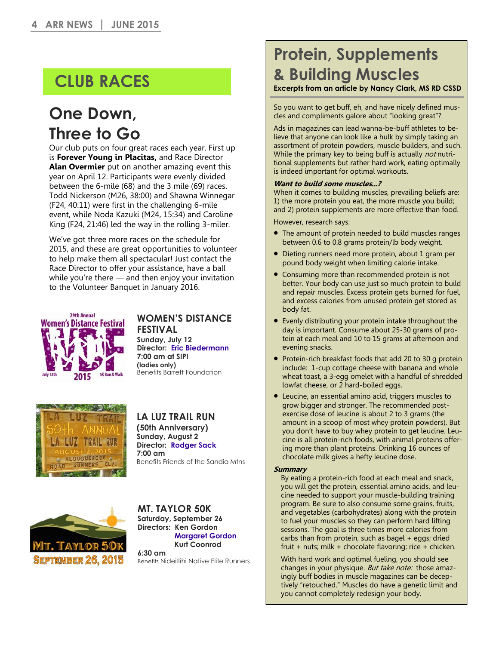# **CLUB RACES**

### **One Down, Three to Go**

Our club puts on four great races each year. First up is **Forever Young in Placitas,** and Race Director **Alan Overmier** put on another amazing event this year on April 12. Participants were evenly divided between the 6-mile (68) and the 3 mile (69) races. Todd Nickerson (M26, 38:00) and Shawna Winnegar (F24, 40:11) were first in the challenging 6-mile event, while Noda Kazuki (M24, 15:34) and Caroline King (F24, 21:46) led the way in the rolling 3-miler.

We've got three more races on the schedule for 2015, and these are great opportunities to volunteer to help make them all spectacular! Just contact the Race Director to offer your assistance, have a ball while you're there — and then enjoy your invitation to the Volunteer Banquet in January 2016.



#### **WOMEN'S DISTANCE FESTIVAL Sunday, July 12**

**Director: [Eric Biedermann](mailto:wdf@abqroadrunners.com) 7:00 am at SIPI (ladies only)**  Benefits Barrett Foundation



### **LA LUZ TRAIL RUN**

**(50th Anniversary) Sunday, August 2 Director: [Rodger Sack](mailto:laluz@abqroadrunners.com) 7:00 am**  Benefits Friends of the Sandia Mtns



#### **MT. TAYLOR 50K Saturday, September 26 Directors: Ken Gordon [Margaret Gordon](mailto:meowelk@yahoo.com) Kurt Coonrod 6:30 am**

Benefits Nideiltihi Native Elite Runners

# **Protein, Supplements & Building Muscles**

#### **Excerpts from an article by Nancy Clark, MS RD CSSD**

So you want to get buff, eh, and have nicely defined muscles and compliments galore about "looking great"?

Ads in magazines can lead wanna-be-buff athletes to believe that anyone can look like a hulk by simply taking an assortment of protein powders, muscle builders, and such. While the primary key to being buff is actually *not* nutritional supplements but rather hard work, eating optimally is indeed important for optimal workouts.

#### **Want to build some muscles...?**

When it comes to building muscles, prevailing beliefs are: 1) the more protein you eat, the more muscle you build; and 2) protein supplements are more effective than food.

However, research says:

- The amount of protein needed to build muscles ranges between 0.6 to 0.8 grams protein/lb body weight.
- Dieting runners need more protein, about 1 gram per pound body weight when limiting calorie intake.
- Consuming more than recommended protein is not better. Your body can use just so much protein to build and repair muscles. Excess protein gets burned for fuel, and excess calories from unused protein get stored as body fat.
- Evenly distributing your protein intake throughout the day is important. Consume about 25-30 grams of protein at each meal and 10 to 15 grams at afternoon and evening snacks.
- Protein-rich breakfast foods that add 20 to 30 g protein include: 1-cup cottage cheese with banana and whole wheat toast, a 3-egg omelet with a handful of shredded lowfat cheese, or 2 hard-boiled eggs.
- Leucine, an essential amino acid, triggers muscles to grow bigger and stronger. The recommended postexercise dose of leucine is about 2 to 3 grams (the amount in a scoop of most whey protein powders). But you don't have to buy whey protein to get leucine. Leucine is all protein-rich foods, with animal proteins offering more than plant proteins. Drinking 16 ounces of chocolate milk gives a hefty leucine dose.

#### **Summary**

By eating a protein-rich food at each meal and snack, you will get the protein, essential amino acids, and leucine needed to support your muscle-building training program. Be sure to also consume some grains, fruits, and vegetables (carbohydrates) along with the protein to fuel your muscles so they can perform hard lifting sessions. The goal is three times more calories from carbs than from protein, such as bagel + eggs; dried fruit + nuts; milk + chocolate flavoring; rice + chicken.

With hard work and optimal fueling, you should see changes in your physique. But take note: those amazingly buff bodies in muscle magazines can be deceptively "retouched." Muscles do have a genetic limit and you cannot completely redesign your body.